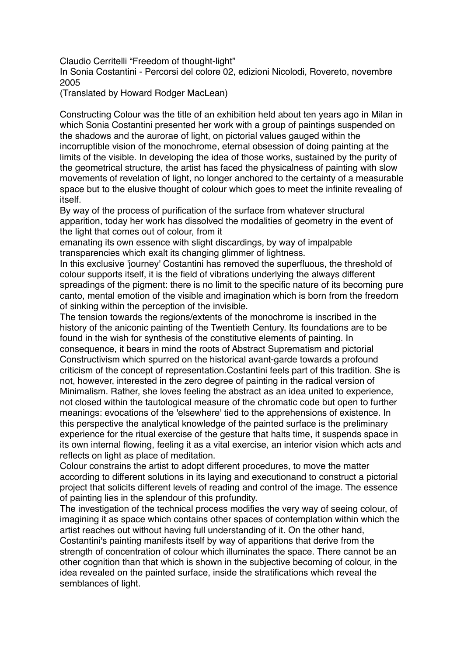Claudio Cerritelli "Freedom of thought-light"

In Sonia Costantini - Percorsi del colore 02, edizioni Nicolodi, Rovereto, novembre 2005

(Translated by Howard Rodger MacLean)

Constructing Colour was the title of an exhibition held about ten years ago in Milan in which Sonia Costantini presented her work with a group of paintings suspended on the shadows and the aurorae of light, on pictorial values gauged within the incorruptible vision of the monochrome, eternal obsession of doing painting at the limits of the visible. In developing the idea of those works, sustained by the purity of the geometrical structure, the artist has faced the physicalness of painting with slow movements of revelation of light, no longer anchored to the certainty of a measurable space but to the elusive thought of colour which goes to meet the infinite revealing of itself.

By way of the process of purification of the surface from whatever structural apparition, today her work has dissolved the modalities of geometry in the event of the light that comes out of colour, from it

emanating its own essence with slight discardings, by way of impalpable transparencies which exalt its changing glimmer of lightness.

In this exclusive 'journey' Costantini has removed the superfluous, the threshold of colour supports itself, it is the field of vibrations underlying the always different spreadings of the pigment: there is no limit to the specific nature of its becoming pure canto, mental emotion of the visible and imagination which is born from the freedom of sinking within the perception of the invisible.

The tension towards the regions/extents of the monochrome is inscribed in the history of the aniconic painting of the Twentieth Century. Its foundations are to be found in the wish for synthesis of the constitutive elements of painting. In consequence, it bears in mind the roots of Abstract Suprematism and pictorial Constructivism which spurred on the historical avant-garde towards a profound criticism of the concept of representation.Costantini feels part of this tradition. She is not, however, interested in the zero degree of painting in the radical version of Minimalism. Rather, she loves feeling the abstract as an idea united to experience, not closed within the tautological measure of the chromatic code but open to further meanings: evocations of the 'elsewhere' tied to the apprehensions of existence. In this perspective the analytical knowledge of the painted surface is the preliminary experience for the ritual exercise of the gesture that halts time, it suspends space in its own internal flowing, feeling it as a vital exercise, an interior vision which acts and reflects on light as place of meditation.

Colour constrains the artist to adopt different procedures, to move the matter according to different solutions in its laying and executionand to construct a pictorial project that solicits different levels of reading and control of the image. The essence of painting lies in the splendour of this profundity.

The investigation of the technical process modifies the very way of seeing colour, of imagining it as space which contains other spaces of contemplation within which the artist reaches out without having full understanding of it. On the other hand, Costantini's painting manifests itself by way of apparitions that derive from the strength of concentration of colour which illuminates the space. There cannot be an other cognition than that which is shown in the subjective becoming of colour, in the idea revealed on the painted surface, inside the stratifications which reveal the semblances of light.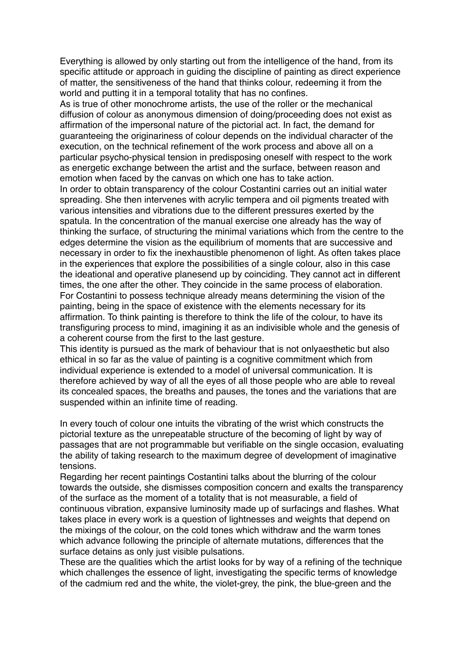Everything is allowed by only starting out from the intelligence of the hand, from its specific attitude or approach in guiding the discipline of painting as direct experience of matter, the sensitiveness of the hand that thinks colour, redeeming it from the world and putting it in a temporal totality that has no confines.

As is true of other monochrome artists, the use of the roller or the mechanical diffusion of colour as anonymous dimension of doing/proceeding does not exist as affirmation of the impersonal nature of the pictorial act. In fact, the demand for guaranteeing the originariness of colour depends on the individual character of the execution, on the technical refinement of the work process and above all on a particular psycho-physical tension in predisposing oneself with respect to the work as energetic exchange between the artist and the surface, between reason and emotion when faced by the canvas on which one has to take action.

In order to obtain transparency of the colour Costantini carries out an initial water spreading. She then intervenes with acrylic tempera and oil pigments treated with various intensities and vibrations due to the different pressures exerted by the spatula. In the concentration of the manual exercise one already has the way of thinking the surface, of structuring the minimal variations which from the centre to the edges determine the vision as the equilibrium of moments that are successive and necessary in order to fix the inexhaustible phenomenon of light. As often takes place in the experiences that explore the possibilities of a single colour, also in this case the ideational and operative planesend up by coinciding. They cannot act in different times, the one after the other. They coincide in the same process of elaboration. For Costantini to possess technique already means determining the vision of the painting, being in the space of existence with the elements necessary for its affirmation. To think painting is therefore to think the life of the colour, to have its transfiguring process to mind, imagining it as an indivisible whole and the genesis of a coherent course from the first to the last gesture.

This identity is pursued as the mark of behaviour that is not onlyaesthetic but also ethical in so far as the value of painting is a cognitive commitment which from individual experience is extended to a model of universal communication. It is therefore achieved by way of all the eyes of all those people who are able to reveal its concealed spaces, the breaths and pauses, the tones and the variations that are suspended within an infinite time of reading.

In every touch of colour one intuits the vibrating of the wrist which constructs the pictorial texture as the unrepeatable structure of the becoming of light by way of passages that are not programmable but verifiable on the single occasion, evaluating the ability of taking research to the maximum degree of development of imaginative tensions.

Regarding her recent paintings Costantini talks about the blurring of the colour towards the outside, she dismisses composition concern and exalts the transparency of the surface as the moment of a totality that is not measurable, a field of continuous vibration, expansive luminosity made up of surfacings and flashes. What takes place in every work is a question of lightnesses and weights that depend on the mixings of the colour, on the cold tones which withdraw and the warm tones which advance following the principle of alternate mutations, differences that the surface detains as only just visible pulsations.

These are the qualities which the artist looks for by way of a refining of the technique which challenges the essence of light, investigating the specific terms of knowledge of the cadmium red and the white, the violet-grey, the pink, the blue-green and the